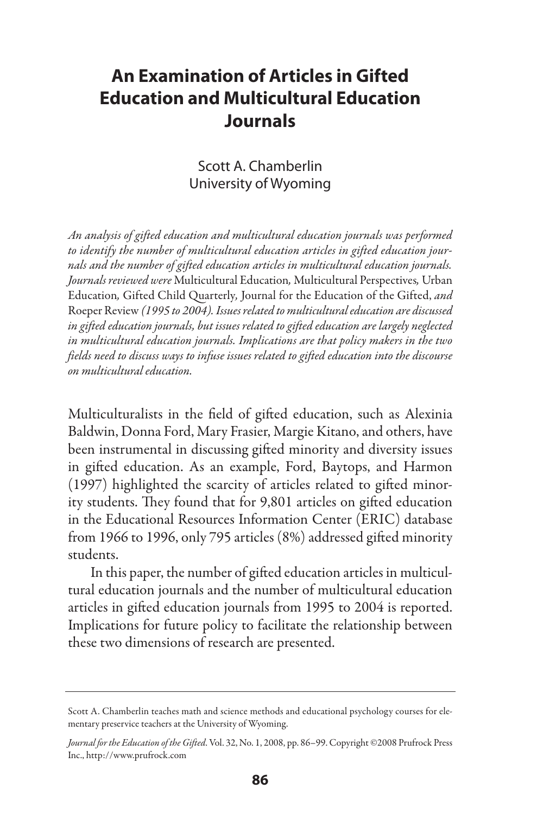# **An Examination of Articles in Gifted Education and Multicultural Education Journals**

## Scott A. Chamberlin University of Wyoming

*An analysis of gifted education and multicultural education journals was performed to identify the number of multicultural education articles in gifted education journals and the number of gifted education articles in multicultural education journals. Journals reviewed were* Multicultural Education*,* Multicultural Perspectives*,* Urban Education*,* Gifted Child Quarterly*,* Journal for the Education of the Gifted, *and*  Roeper Review *(1995 to 2004). Issues related to multicultural education are discussed in gifted education journals, but issues related to gifted education are largely neglected in multicultural education journals. Implications are that policy makers in the two fields need to discuss ways to infuse issues related to gifted education into the discourse on multicultural education.* 

Multiculturalists in the field of gifted education, such as Alexinia Baldwin, Donna Ford, Mary Frasier, Margie Kitano, and others, have been instrumental in discussing gifted minority and diversity issues in gifted education. As an example, Ford, Baytops, and Harmon (1997) highlighted the scarcity of articles related to gifted minority students. They found that for 9,801 articles on gifted education in the Educational Resources Information Center (ERIC) database from 1966 to 1996, only 795 articles (8%) addressed gifted minority students.

In this paper, the number of gifted education articles in multicultural education journals and the number of multicultural education articles in gifted education journals from 1995 to 2004 is reported. Implications for future policy to facilitate the relationship between these two dimensions of research are presented.

Scott A. Chamberlin teaches math and science methods and educational psychology courses for elementary preservice teachers at the University of Wyoming.

*Journal for the Education of the Gifted*. Vol. 32, No. 1, 2008, pp. 86–99. Copyright ©2008 Prufrock Press Inc., http://www.prufrock.com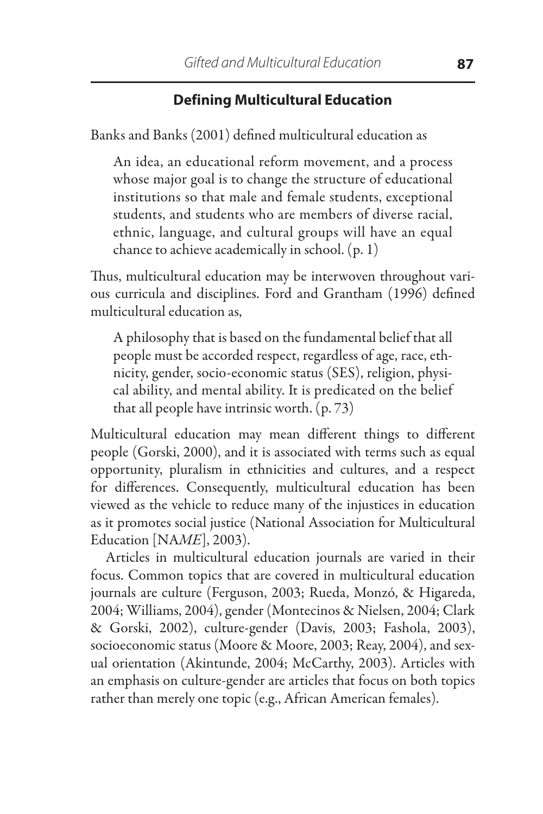# **Defining Multicultural Education**

Banks and Banks (2001) defined multicultural education as

An idea, an educational reform movement, and a process whose major goal is to change the structure of educational institutions so that male and female students, exceptional students, and students who are members of diverse racial, ethnic, language, and cultural groups will have an equal chance to achieve academically in school. (p. 1)

Thus, multicultural education may be interwoven throughout various curricula and disciplines. Ford and Grantham (1996) defined multicultural education as,

A philosophy that is based on the fundamental belief that all people must be accorded respect, regardless of age, race, ethnicity, gender, socio-economic status (SES), religion, physical ability, and mental ability. It is predicated on the belief that all people have intrinsic worth. (p. 73)

Multicultural education may mean different things to different people (Gorski, 2000), and it is associated with terms such as equal opportunity, pluralism in ethnicities and cultures, and a respect for differences. Consequently, multicultural education has been viewed as the vehicle to reduce many of the injustices in education as it promotes social justice (National Association for Multicultural Education [NA*ME*], 2003).

Articles in multicultural education journals are varied in their focus. Common topics that are covered in multicultural education journals are culture (Ferguson, 2003; Rueda, Monzó, & Higareda, 2004; Williams, 2004), gender (Montecinos & Nielsen, 2004; Clark & Gorski, 2002), culture-gender (Davis, 2003; Fashola, 2003), socioeconomic status (Moore & Moore, 2003; Reay, 2004), and sexual orientation (Akintunde, 2004; McCarthy, 2003). Articles with an emphasis on culture-gender are articles that focus on both topics rather than merely one topic (e.g., African American females).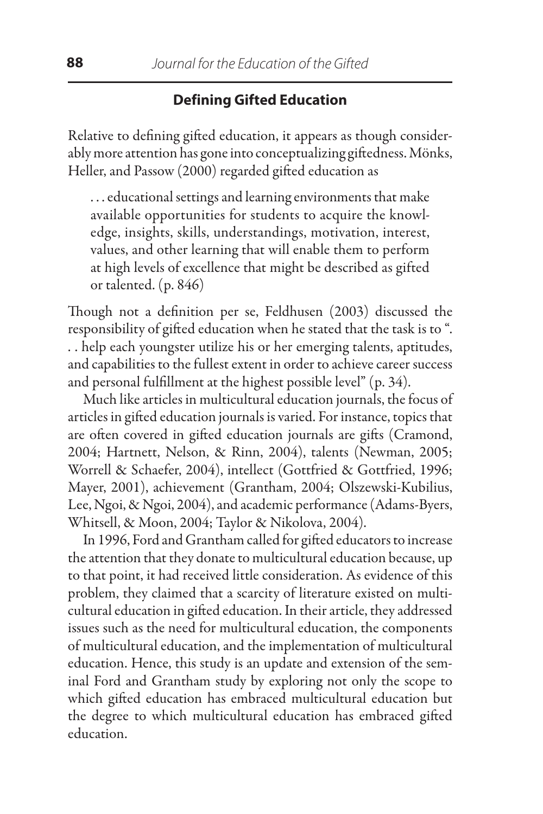# **Defining Gifted Education**

Relative to defining gifted education, it appears as though considerably more attention has gone into conceptualizing giftedness. Mönks, Heller, and Passow (2000) regarded gifted education as

. . . educational settings and learning environments that make available opportunities for students to acquire the knowledge, insights, skills, understandings, motivation, interest, values, and other learning that will enable them to perform at high levels of excellence that might be described as gifted or talented. (p. 846)

Though not a definition per se, Feldhusen (2003) discussed the responsibility of gifted education when he stated that the task is to ". . . help each youngster utilize his or her emerging talents, aptitudes, and capabilities to the fullest extent in order to achieve career success and personal fulfillment at the highest possible level" (p. 34).

Much like articles in multicultural education journals, the focus of articles in gifted education journals is varied. For instance, topics that are often covered in gifted education journals are gifts (Cramond, 2004; Hartnett, Nelson, & Rinn, 2004), talents (Newman, 2005; Worrell & Schaefer, 2004), intellect (Gottfried & Gottfried, 1996; Mayer, 2001), achievement (Grantham, 2004; Olszewski-Kubilius, Lee, Ngoi, & Ngoi, 2004), and academic performance (Adams-Byers, Whitsell, & Moon, 2004; Taylor & Nikolova, 2004).

In 1996, Ford and Grantham called for gifted educators to increase the attention that they donate to multicultural education because, up to that point, it had received little consideration. As evidence of this problem, they claimed that a scarcity of literature existed on multicultural education in gifted education. In their article, they addressed issues such as the need for multicultural education, the components of multicultural education, and the implementation of multicultural education. Hence, this study is an update and extension of the seminal Ford and Grantham study by exploring not only the scope to which gifted education has embraced multicultural education but the degree to which multicultural education has embraced gifted education.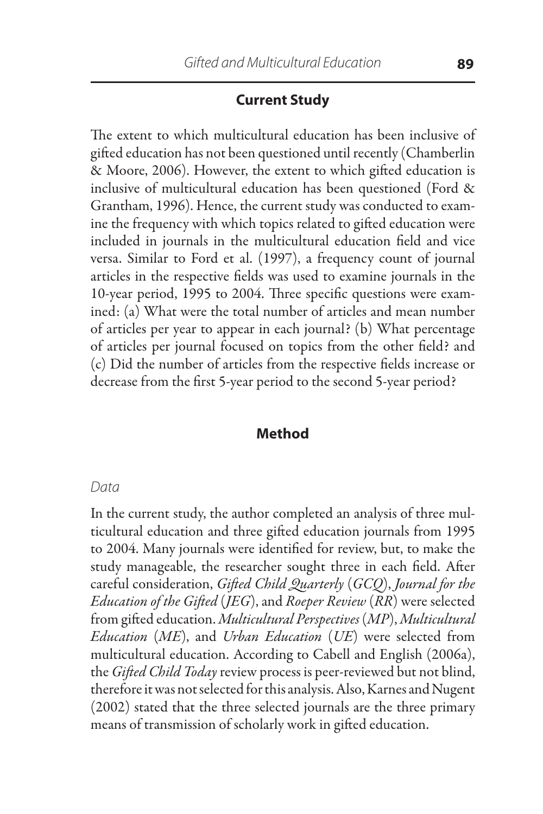## **Current Study**

The extent to which multicultural education has been inclusive of gifted education has not been questioned until recently (Chamberlin & Moore, 2006). However, the extent to which gifted education is inclusive of multicultural education has been questioned (Ford & Grantham, 1996). Hence, the current study was conducted to examine the frequency with which topics related to gifted education were included in journals in the multicultural education field and vice versa. Similar to Ford et al. (1997), a frequency count of journal articles in the respective fields was used to examine journals in the 10-year period, 1995 to 2004. Three specific questions were examined: (a) What were the total number of articles and mean number of articles per year to appear in each journal? (b) What percentage of articles per journal focused on topics from the other field? and (c) Did the number of articles from the respective fields increase or decrease from the first 5-year period to the second 5-year period?

#### **Method**

#### *Data*

In the current study, the author completed an analysis of three multicultural education and three gifted education journals from 1995 to 2004. Many journals were identified for review, but, to make the study manageable, the researcher sought three in each field. After careful consideration, *Gifted Child Quarterly* (*GCQ*), *Journal for the Education of the Gifted* (*JEG*), and *Roeper Review* (*RR*) were selected from gifted education. *Multicultural Perspectives* (*MP*), *Multicultural Education* (*ME*), and *Urban Education* (*UE*) were selected from multicultural education. According to Cabell and English (2006a), the *Gifted Child Today* review process is peer-reviewed but not blind, therefore it was not selected for this analysis. Also, Karnes and Nugent (2002) stated that the three selected journals are the three primary means of transmission of scholarly work in gifted education.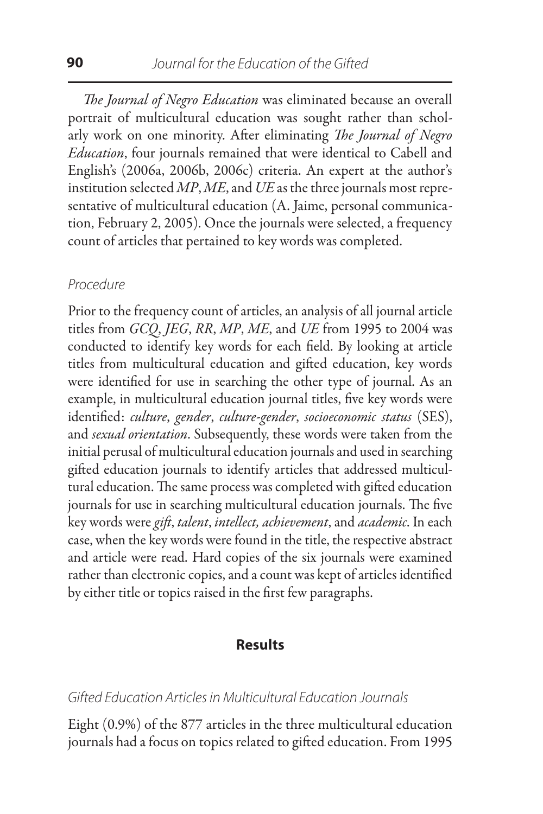*The Journal of Negro Education* was eliminated because an overall portrait of multicultural education was sought rather than scholarly work on one minority. After eliminating *The Journal of Negro Education*, four journals remained that were identical to Cabell and English's (2006a, 2006b, 2006c) criteria. An expert at the author's institution selected *MP*, *ME*, and *UE* as the three journals most representative of multicultural education (A. Jaime, personal communication, February 2, 2005). Once the journals were selected, a frequency count of articles that pertained to key words was completed.

#### *Procedure*

Prior to the frequency count of articles, an analysis of all journal article titles from *GCQ*, *JEG*, *RR*, *MP*, *ME*, and *UE* from 1995 to 2004 was conducted to identify key words for each field. By looking at article titles from multicultural education and gifted education, key words were identified for use in searching the other type of journal. As an example, in multicultural education journal titles, five key words were identified: *culture*, *gender*, *culture-gender*, *socioeconomic status* (SES), and *sexual orientation*. Subsequently, these words were taken from the initial perusal of multicultural education journals and used in searching gifted education journals to identify articles that addressed multicultural education. The same process was completed with gifted education journals for use in searching multicultural education journals. The five key words were *gift*, *talent*, *intellect, achievement*, and *academic*. In each case, when the key words were found in the title, the respective abstract and article were read. Hard copies of the six journals were examined rather than electronic copies, and a count was kept of articles identified by either title or topics raised in the first few paragraphs.

#### **Results**

#### *Gifted Education Articles in Multicultural Education Journals*

Eight (0.9%) of the 877 articles in the three multicultural education journals had a focus on topics related to gifted education. From 1995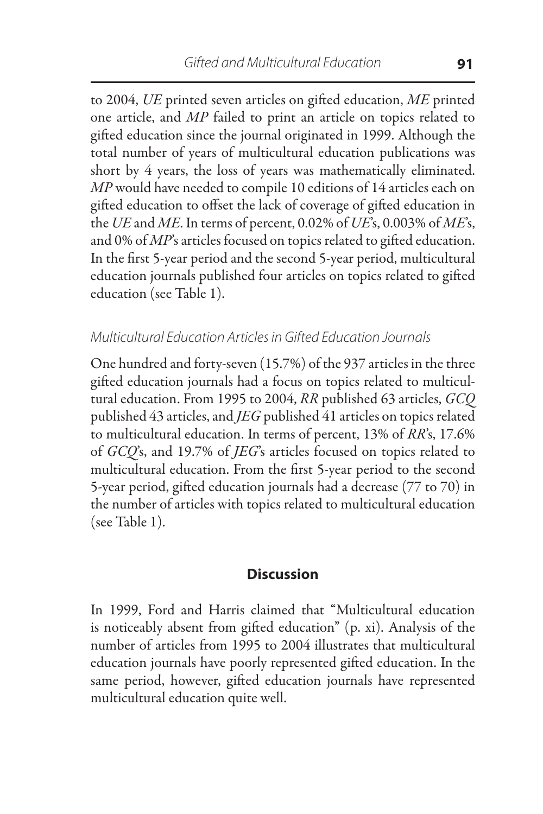to 2004, *UE* printed seven articles on gifted education, *ME* printed one article, and *MP* failed to print an article on topics related to gifted education since the journal originated in 1999. Although the total number of years of multicultural education publications was short by 4 years, the loss of years was mathematically eliminated. *MP* would have needed to compile 10 editions of 14 articles each on gifted education to offset the lack of coverage of gifted education in the *UE* and *ME*. In terms of percent, 0.02% of *UE*'s, 0.003% of *ME*'s, and 0% of *MP*'s articles focused on topics related to gifted education. In the first 5-year period and the second 5-year period, multicultural education journals published four articles on topics related to gifted education (see Table 1).

## *Multicultural Education Articles in Gifted Education Journals*

One hundred and forty-seven (15.7%) of the 937 articles in the three gifted education journals had a focus on topics related to multicultural education. From 1995 to 2004, *RR* published 63 articles, *GCQ* published 43 articles, and *JEG* published 41 articles on topics related to multicultural education. In terms of percent, 13% of *RR*'s, 17.6% of *GCQ*'s, and 19.7% of *JEG*'s articles focused on topics related to multicultural education. From the first 5-year period to the second 5-year period, gifted education journals had a decrease (77 to 70) in the number of articles with topics related to multicultural education (see Table 1).

#### **Discussion**

In 1999, Ford and Harris claimed that "Multicultural education is noticeably absent from gifted education" (p. xi). Analysis of the number of articles from 1995 to 2004 illustrates that multicultural education journals have poorly represented gifted education. In the same period, however, gifted education journals have represented multicultural education quite well.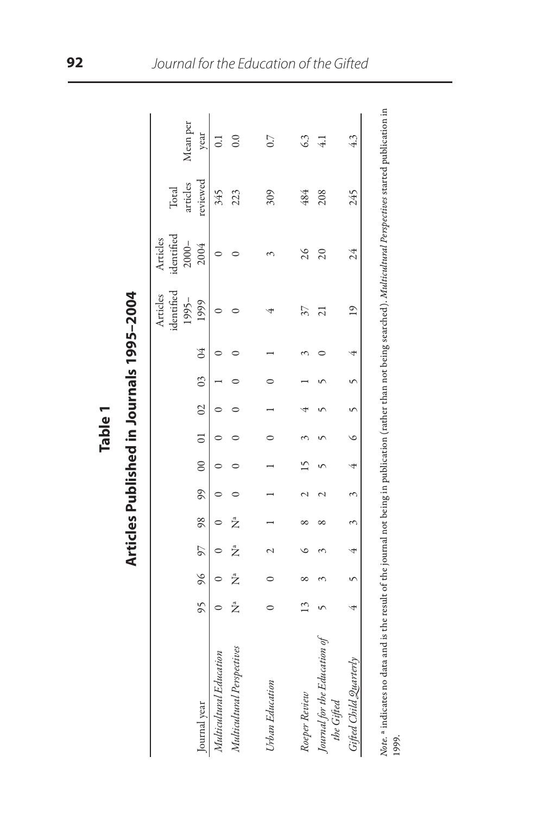|                                            |    |   |                         |   |               |  |                              |  | identified<br>Articles<br>$1995 -$ | identified<br>Articles<br>$2000 -$ | articles<br>Total | Mean per       |
|--------------------------------------------|----|---|-------------------------|---|---------------|--|------------------------------|--|------------------------------------|------------------------------------|-------------------|----------------|
| Journal year                               | 95 |   | 96 97 98 99             |   |               |  | $00 \t 01 \t 02 \t 03 \t 04$ |  | 1999                               | 2004                               | reviewed          | year           |
| Multicultural Education                    |    |   |                         |   |               |  |                              |  |                                    |                                    | 345               |                |
| Multicultural Perspectives                 | Ž  | Ž | Ž                       | Å |               |  |                              |  |                                    |                                    | 223               | $_{\rm 0.0}$   |
| Urban Education                            |    |   |                         |   | $\frac{1}{1}$ |  |                              |  |                                    |                                    | 309               | 0.7            |
| Roeper Review                              |    |   |                         |   |               |  |                              |  | 37                                 | 26                                 | 484               | G3             |
| Journal for the Education of<br>the Gifted |    |   |                         |   |               |  |                              |  | ಸ                                  | 20                                 | 208               | $\frac{41}{5}$ |
| Gifted Child Quarterly                     |    |   | $4$ 5 $4$ 3 3 4 6 5 5 4 |   |               |  |                              |  | $^{19}$                            | 24                                 | 245               | 43             |
|                                            |    |   |                         |   |               |  |                              |  |                                    |                                    |                   |                |

Articles Published in Journals 1995-2004 **Table 1 Articles Published in Journals 1995–2004** Table 1

*Note.* ª indicates no data and is the result of the journal not being in publication (rather than not being searched). *Multicultural Perspectives* started publication in *Note.* <sup>a</sup> indicates no data and is the result of the journal not being in publication (rather than not being searched)*. Multicultural Perspectives* started publication in<br>1999.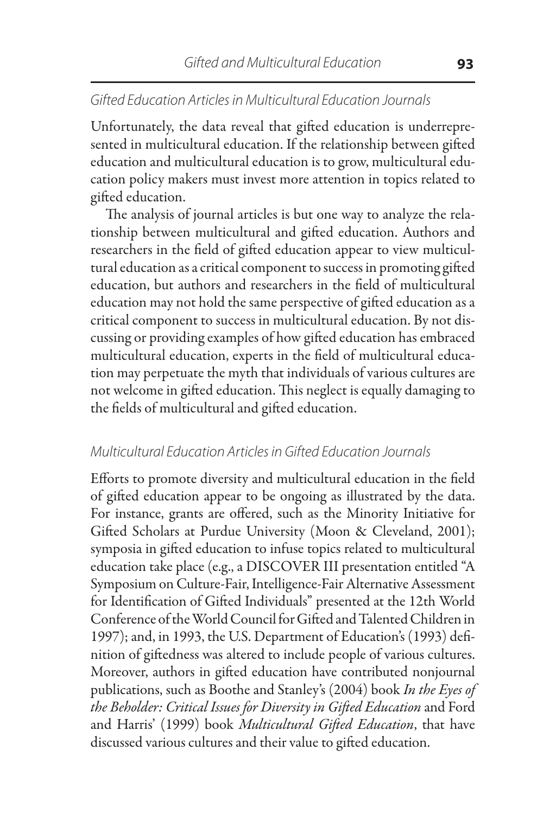## *Gifted Education Articles in Multicultural Education Journals*

Unfortunately, the data reveal that gifted education is underrepresented in multicultural education. If the relationship between gifted education and multicultural education is to grow, multicultural education policy makers must invest more attention in topics related to gifted education.

The analysis of journal articles is but one way to analyze the relationship between multicultural and gifted education. Authors and researchers in the field of gifted education appear to view multicultural education as a critical component to success in promoting gifted education, but authors and researchers in the field of multicultural education may not hold the same perspective of gifted education as a critical component to success in multicultural education. By not discussing or providing examples of how gifted education has embraced multicultural education, experts in the field of multicultural education may perpetuate the myth that individuals of various cultures are not welcome in gifted education. This neglect is equally damaging to the fields of multicultural and gifted education.

#### *Multicultural Education Articles in Gifted Education Journals*

Efforts to promote diversity and multicultural education in the field of gifted education appear to be ongoing as illustrated by the data. For instance, grants are offered, such as the Minority Initiative for Gifted Scholars at Purdue University (Moon & Cleveland, 2001); symposia in gifted education to infuse topics related to multicultural education take place (e.g., a DISCOVER III presentation entitled "A Symposium on Culture-Fair, Intelligence-Fair Alternative Assessment for Identification of Gifted Individuals" presented at the 12th World Conference of the World Council for Gifted and Talented Children in 1997); and, in 1993, the U.S. Department of Education's (1993) definition of giftedness was altered to include people of various cultures. Moreover, authors in gifted education have contributed nonjournal publications, such as Boothe and Stanley's (2004) book *In the Eyes of the Beholder: Critical Issues for Diversity in Gifted Education* and Ford and Harris' (1999) book *Multicultural Gifted Education*, that have discussed various cultures and their value to gifted education.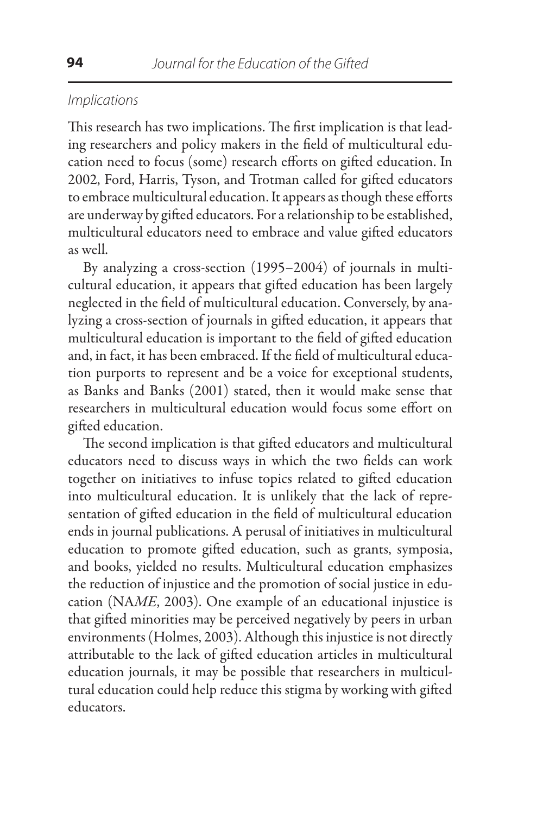#### *Implications*

This research has two implications. The first implication is that leading researchers and policy makers in the field of multicultural education need to focus (some) research efforts on gifted education. In 2002, Ford, Harris, Tyson, and Trotman called for gifted educators to embrace multicultural education. It appears as though these efforts are underway by gifted educators. For a relationship to be established, multicultural educators need to embrace and value gifted educators as well.

By analyzing a cross-section (1995–2004) of journals in multicultural education, it appears that gifted education has been largely neglected in the field of multicultural education. Conversely, by analyzing a cross-section of journals in gifted education, it appears that multicultural education is important to the field of gifted education and, in fact, it has been embraced. If the field of multicultural education purports to represent and be a voice for exceptional students, as Banks and Banks (2001) stated, then it would make sense that researchers in multicultural education would focus some effort on gifted education.

The second implication is that gifted educators and multicultural educators need to discuss ways in which the two fields can work together on initiatives to infuse topics related to gifted education into multicultural education. It is unlikely that the lack of representation of gifted education in the field of multicultural education ends in journal publications. A perusal of initiatives in multicultural education to promote gifted education, such as grants, symposia, and books, yielded no results. Multicultural education emphasizes the reduction of injustice and the promotion of social justice in education (NA*ME*, 2003). One example of an educational injustice is that gifted minorities may be perceived negatively by peers in urban environments (Holmes, 2003). Although this injustice is not directly attributable to the lack of gifted education articles in multicultural education journals, it may be possible that researchers in multicultural education could help reduce this stigma by working with gifted educators.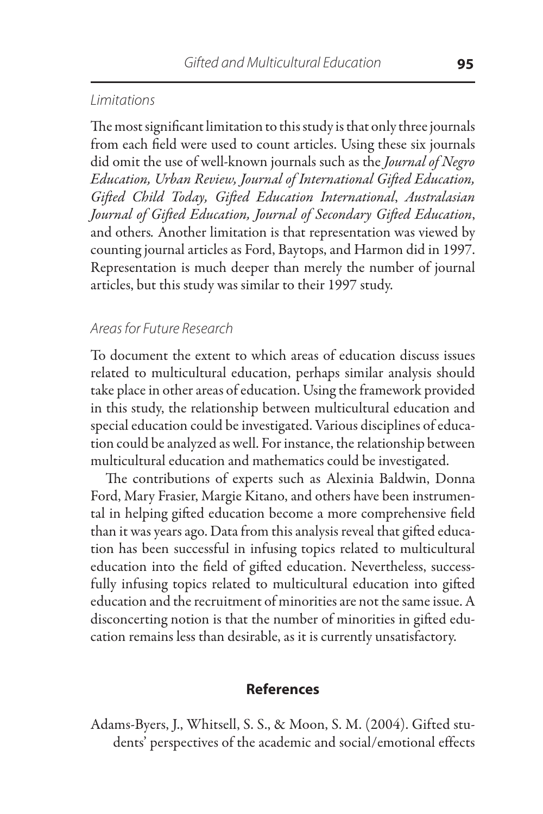#### *Limitations*

The most significant limitation to this study is that only three journals from each field were used to count articles. Using these six journals did omit the use of well-known journals such as the *Journal of Negro Education, Urban Review, Journal of International Gifted Education, Gifted Child Today, Gifted Education International*, *Australasian Journal of Gifted Education, Journal of Secondary Gifted Education*, and others*.* Another limitation is that representation was viewed by counting journal articles as Ford, Baytops, and Harmon did in 1997. Representation is much deeper than merely the number of journal articles, but this study was similar to their 1997 study.

#### *Areas for Future Research*

To document the extent to which areas of education discuss issues related to multicultural education, perhaps similar analysis should take place in other areas of education. Using the framework provided in this study, the relationship between multicultural education and special education could be investigated. Various disciplines of education could be analyzed as well. For instance, the relationship between multicultural education and mathematics could be investigated.

The contributions of experts such as Alexinia Baldwin, Donna Ford, Mary Frasier, Margie Kitano, and others have been instrumental in helping gifted education become a more comprehensive field than it was years ago. Data from this analysis reveal that gifted education has been successful in infusing topics related to multicultural education into the field of gifted education. Nevertheless, successfully infusing topics related to multicultural education into gifted education and the recruitment of minorities are not the same issue. A disconcerting notion is that the number of minorities in gifted education remains less than desirable, as it is currently unsatisfactory.

#### **References**

Adams-Byers, J., Whitsell, S. S., & Moon, S. M. (2004). Gifted students' perspectives of the academic and social/emotional effects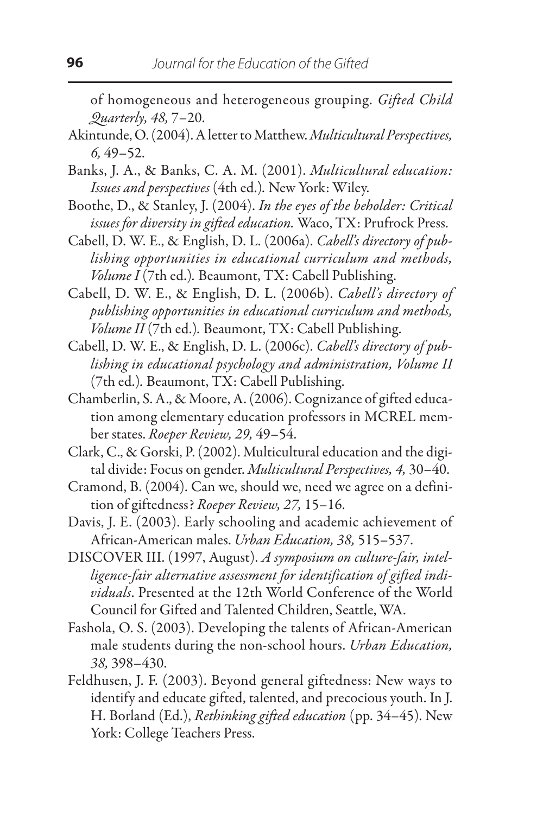of homogeneous and heterogeneous grouping. *Gifted Child Quarterly, 48,* 7–20.

- Akintunde, O. (2004). A letter to Matthew. *Multicultural Perspectives, 6,* 49–52.
- Banks, J. A., & Banks, C. A. M. (2001). *Multicultural education: Issues and perspectives* (4th ed.)*.* New York: Wiley.
- Boothe, D., & Stanley, J. (2004). *In the eyes of the beholder: Critical issues for diversity in gifted education.* Waco, TX: Prufrock Press.
- Cabell, D. W. E., & English, D. L. (2006a). *Cabell's directory of publishing opportunities in educational curriculum and methods, Volume I* (7th ed.)*.* Beaumont, TX: Cabell Publishing.
- Cabell, D. W. E., & English, D. L. (2006b). *Cabell's directory of publishing opportunities in educational curriculum and methods, Volume II* (7th ed.)*.* Beaumont, TX: Cabell Publishing.
- Cabell, D. W. E., & English, D. L. (2006c). *Cabell's directory of publishing in educational psychology and administration, Volume II* (7th ed.)*.* Beaumont, TX: Cabell Publishing.
- Chamberlin, S. A., & Moore, A. (2006). Cognizance of gifted education among elementary education professors in MCREL member states. *Roeper Review, 29,* 49–54.
- Clark, C., & Gorski, P. (2002). Multicultural education and the digital divide: Focus on gender. *Multicultural Perspectives, 4,* 30–40.
- Cramond, B. (2004). Can we, should we, need we agree on a definition of giftedness? *Roeper Review, 27,* 15–16.
- Davis, J. E. (2003). Early schooling and academic achievement of African-American males. *Urban Education, 38,* 515–537.
- DISCOVER III. (1997, August). *A symposium on culture-fair, intelligence-fair alternative assessment for identification of gifted individuals*. Presented at the 12th World Conference of the World Council for Gifted and Talented Children, Seattle, WA.
- Fashola, O. S. (2003). Developing the talents of African-American male students during the non-school hours. *Urban Education, 38,* 398–430.
- Feldhusen, J. F. (2003). Beyond general giftedness: New ways to identify and educate gifted, talented, and precocious youth. In J. H. Borland (Ed.), *Rethinking gifted education* (pp. 34–45). New York: College Teachers Press.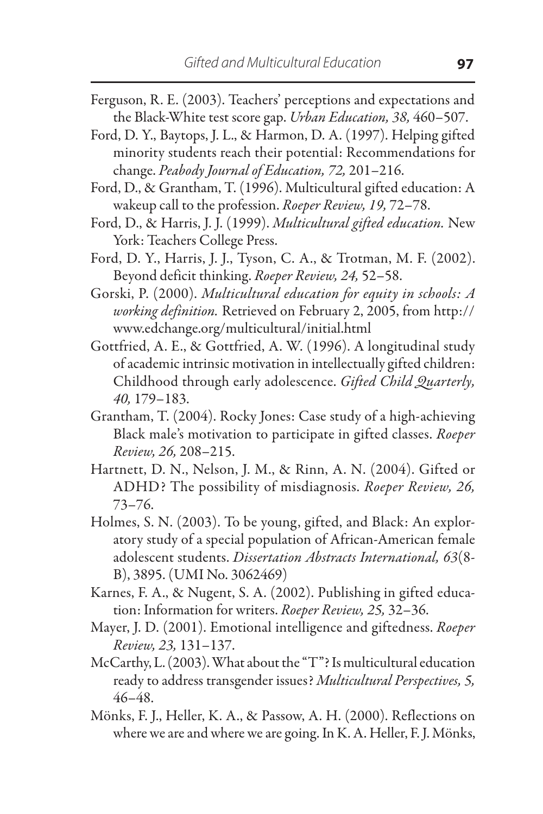- Ferguson, R. E. (2003). Teachers' perceptions and expectations and the Black-White test score gap. *Urban Education, 38,* 460–507.
- Ford, D. Y., Baytops, J. L., & Harmon, D. A. (1997). Helping gifted minority students reach their potential: Recommendations for change. *Peabody Journal of Education, 72,* 201–216.
- Ford, D., & Grantham, T. (1996). Multicultural gifted education: A wakeup call to the profession. *Roeper Review, 19,* 72–78.
- Ford, D., & Harris, J. J. (1999). *Multicultural gifted education.* New York: Teachers College Press.
- Ford, D. Y., Harris, J. J., Tyson, C. A., & Trotman, M. F. (2002). Beyond deficit thinking. *Roeper Review, 24,* 52–58.
- Gorski, P. (2000). *Multicultural education for equity in schools: A working definition.* Retrieved on February 2, 2005, from http:// www.edchange.org/multicultural/initial.html
- Gottfried, A. E., & Gottfried, A. W. (1996). A longitudinal study of academic intrinsic motivation in intellectually gifted children: Childhood through early adolescence. *Gifted Child Quarterly, 40,* 179–183.
- Grantham, T. (2004). Rocky Jones: Case study of a high-achieving Black male's motivation to participate in gifted classes. *Roeper Review, 26,* 208–215.
- Hartnett, D. N., Nelson, J. M., & Rinn, A. N. (2004). Gifted or ADHD? The possibility of misdiagnosis. *Roeper Review, 26,*  73–76.
- Holmes, S. N. (2003). To be young, gifted, and Black: An exploratory study of a special population of African-American female adolescent students. *Dissertation Abstracts International, 63*(8- B), 3895. (UMI No. 3062469)
- Karnes, F. A., & Nugent, S. A. (2002). Publishing in gifted education: Information for writers. *Roeper Review, 25,* 32–36.
- Mayer, J. D. (2001). Emotional intelligence and giftedness. *Roeper Review, 23,* 131–137.
- McCarthy, L. (2003). What about the "T"? Is multicultural education ready to address transgender issues? *Multicultural Perspectives, 5,*  46–48.
- Mönks, F. J., Heller, K. A., & Passow, A. H. (2000). Reflections on where we are and where we are going. In K. A. Heller, F. J. Mönks,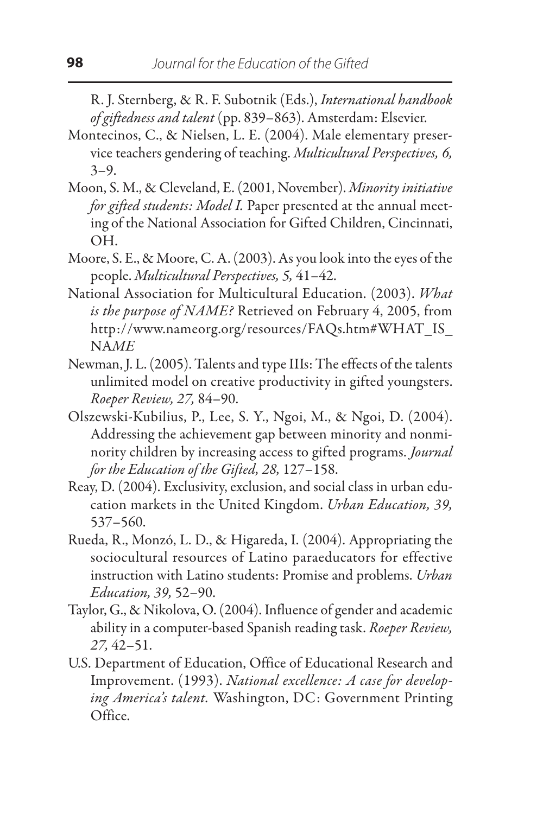R. J. Sternberg, & R. F. Subotnik (Eds.), *International handbook of giftedness and talent* (pp. 839–863). Amsterdam: Elsevier.

- Montecinos, C., & Nielsen, L. E. (2004). Male elementary preservice teachers gendering of teaching. *Multicultural Perspectives, 6,*   $3 - 9.$
- Moon, S. M., & Cleveland, E. (2001, November). *Minority initiative for gifted students: Model I.* Paper presented at the annual meeting of the National Association for Gifted Children, Cincinnati, OH.
- Moore, S. E., & Moore, C. A. (2003). As you look into the eyes of the people. *Multicultural Perspectives, 5,* 41–42.
- National Association for Multicultural Education. (2003). *What is the purpose of NAME?* Retrieved on February 4, 2005, from http://www.nameorg.org/resources/FAQs.htm#WHAT\_IS\_ NA*ME*
- Newman, J. L. (2005). Talents and type IIIs: The effects of the talents unlimited model on creative productivity in gifted youngsters. *Roeper Review, 27,* 84–90.
- Olszewski-Kubilius, P., Lee, S. Y., Ngoi, M., & Ngoi, D. (2004). Addressing the achievement gap between minority and nonminority children by increasing access to gifted programs. *Journal for the Education of the Gifted, 28,* 127–158.
- Reay, D. (2004). Exclusivity, exclusion, and social class in urban education markets in the United Kingdom. *Urban Education, 39,* 537–560.
- Rueda, R., Monzó, L. D., & Higareda, I. (2004). Appropriating the sociocultural resources of Latino paraeducators for effective instruction with Latino students: Promise and problems. *Urban Education, 39,* 52–90.
- Taylor, G., & Nikolova, O. (2004). Influence of gender and academic ability in a computer-based Spanish reading task. *Roeper Review, 27,* 42–51.
- U.S. Department of Education, Office of Educational Research and Improvement. (1993). *National excellence: A case for developing America's talent.* Washington, DC: Government Printing Office.